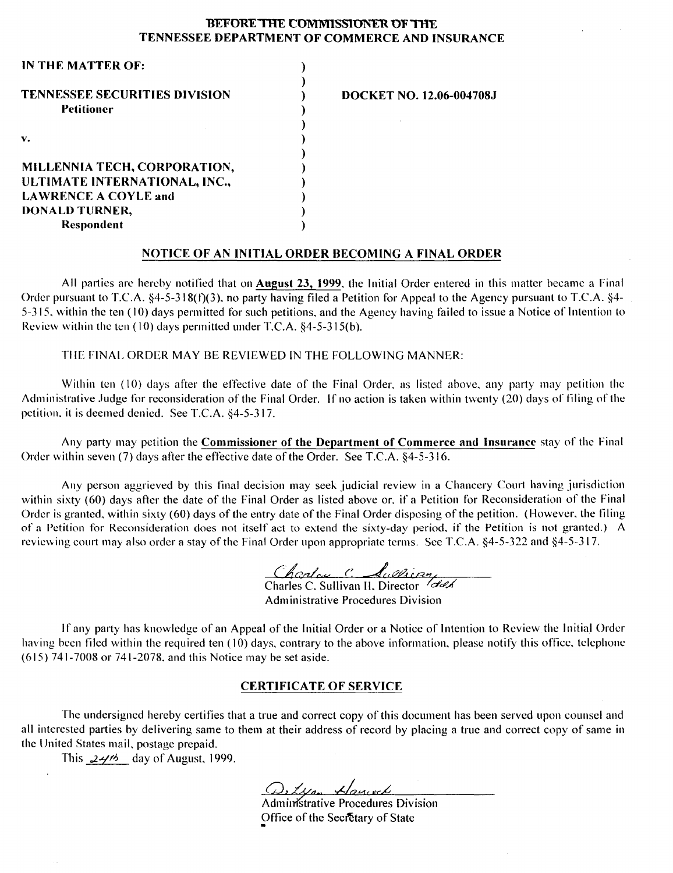#### **BEFORE THE COMMISSIONER OF THE TENNESSEE DEPARTMENT OF COMMERCE AND INSURANCE**

| IN THE MATTER OF:                                         |                          |
|-----------------------------------------------------------|--------------------------|
| <b>TENNESSEE SECURITIES DIVISION</b><br><b>Petitioner</b> | DOCKET NO. 12.06-004708J |
| $\mathbf{v}$ .                                            |                          |
| MILLENNIA TECH, CORPORATION,                              |                          |
| ULTIMATE INTERNATIONAL, INC.,                             |                          |
| <b>LAWRENCE A COYLE and</b>                               |                          |
| DONALD TURNER,                                            |                          |
| Respondent                                                |                          |
|                                                           |                          |

#### **NOTICE OF AN INITIAL ORDER BECOMING A FINAL ORDER**

All parties arc hereby notified that on **August 23, 1999.** the Initial Order entered in this matter became a Final Order pursuant to T.C.A.  $\S 4-5-318(f)(3)$ , no party having filed a Petition for Appeal to the Agency pursuant to T.C.A.  $\S 4-$ 5-315, within the ten (10) days permitted for such petitions, and the Agency having failed to issue a Notice of Intention to Review within the ten  $(10)$  days permitted under T.C.A.  $§4-5-315(b)$ .

TilE FINAL ORDER MAY BE REVIEWED IN THE FOLLOWING MANNER:

Within ten (10) days after the effective date of the Final Order, as listed above, any party may petition the Administrative Judge for reconsideration of the Final Order. If no action is taken within twenty (20) days of filing of the petition, it is deemed denied. See T.C.A.  $&4-5-317$ .

Any party may petition the **Commissioner of the Department of Commerce and Insurance** stay of the Final Order within seven (7) days after the effective date of the Order. See T.C.A.  $\S$ 4-5-316.

Any person aggrieved by this tinal decision may seek judicial review in a Chancery Court having jurisdiction within sixty (60) days after the date of the Final Order as listed above or. if a Petition for Reconsideration of the Final Order is granted. within sixty (60) days of the entry date of the Final Order disposing of the petition. (However, the tiling of a Petition for Reconsideration does not itself act to extend the sixty-day period. if the Petition is not granted.) A reviewing court may also order a stay of the Final Order upon appropriate terms. See T.C.A.  $\S4$ -5-322 and  $\S4$ -5-317.

Charles C. Aullican

**Administrative Procedures Division** 

If any party has knowledge of an Appeal of the Initial Order or a Notice of Intention to Review the Initial Order having been filed within the required ten (10) days, contrary to the above information, please notify this office, telephone (615) 741-7008 or 741-2078. and this Notice may be set aside.

### **CERTIFICATE OF SERVICE**

The undersigned hereby certifies that a true and correct copy of this document has been served upon counsel and all interested parties by delivering same to them at their address of record by placing a true and correct copy of same in the United States mail. postage prepaid.

This  $24\%$  day of August, 1999.

Ortyan Hanced<br>Administrative Procedures Division

Office of the Secretary of State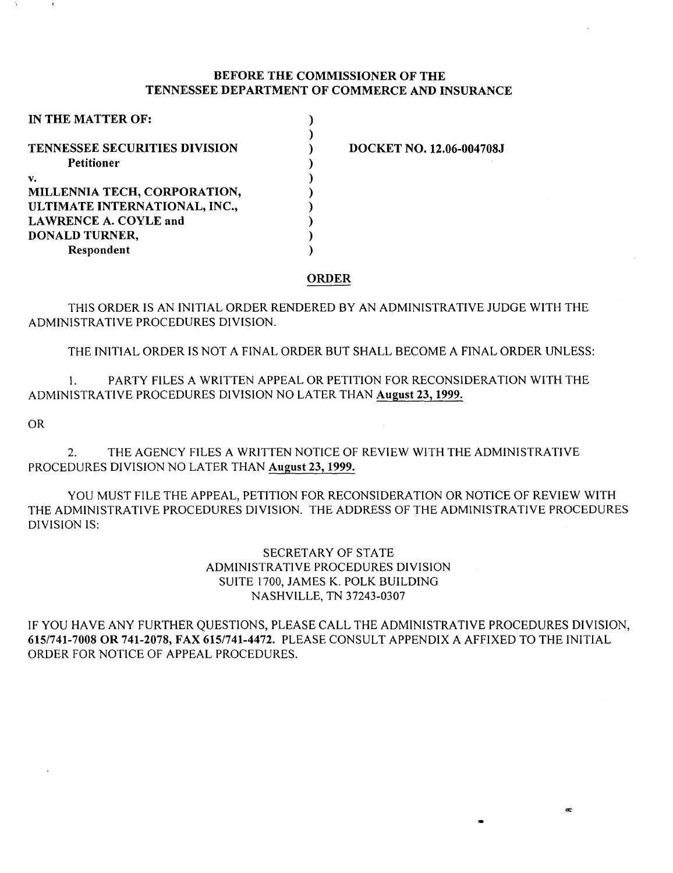### BEFORE THE COMMISSIONER OF THE TENNESSEE DEPARTMENT OF COMMERCE AND INSURANCE

| IN THE MATTER OF:                    |  |
|--------------------------------------|--|
|                                      |  |
| <b>TENNESSEE SECURITIES DIVISION</b> |  |
| Petitioner                           |  |
| v.                                   |  |
| MILLENNIA TECH, CORPORATION,         |  |
| ULTIMATE INTERNATIONAL, INC.,        |  |
| <b>LAWRENCE A. COYLE and</b>         |  |
| DONALD TURNER,                       |  |
| Respondent                           |  |

DOCKET NO. 12.06-004708J

### ORDER

THIS ORDER IS AN INITIAL ORDER RENDERED BY AN ADMINISTRATIVE JUDGE WITH THE ADMINISTRATIVE PROCEDURES DIVISION.

THE INITIAL ORDER IS NOT A FINAL ORDER BUT SHALL BECOME A FINAL ORDER UNLESS:

I. PARTY FILES A WRITTEN APPEAL OR PETITION FOR RECONSIDERATION WITH THE ADMINISTRATIVE PROCEDURES DIVISION NO LATER THAN August 23, 1999.

OR

2. THE AGENCY FILES A WRITTEN NOTICE OF REVIEW WITH THE ADMINISTRATIVE PROCEDURES DIVISION NO LATER THAN August 23, 1999.

YOU MUST FILE THE APPEAL, PETITION FOR RECONSIDERATION OR NOTICE OF REVIEW WITH THE ADMINISTRATIVE PROCEDURES DIVISION. THE ADDRESS OF THE ADMINISTRATIVE PROCEDURES DIVISION IS:

> SECRETARY OF STATE ADMINISTRATIVE PROCEDURES DIVISION SUITE 1700, JAMES K. POLK BUILDING NASHVILLE, TN 37243-0307

IF YOU HAVE ANY FURTHER QUESTIONS, PLEASE CALL THE ADMINISTRATIVE PROCEDURES DIVISION, 6151741-7008 OR 741-2078, FAX 6151741-4472. PLEASE CONSULT APPENDIX A AFFIXED TO THE INITIAL ORDER FOR NOTICE OF APPEAL PROCEDURES.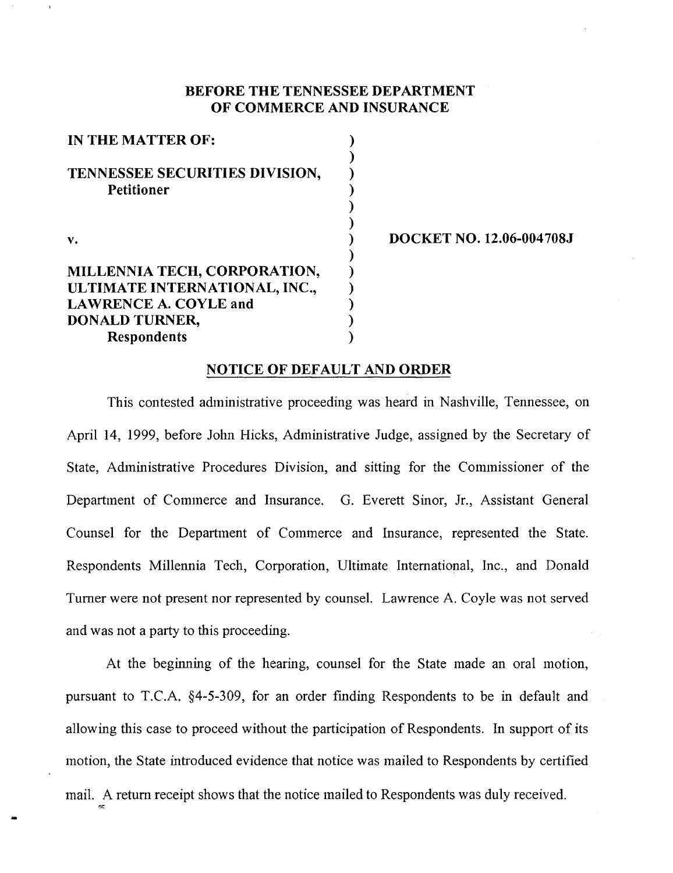# BEFORE THE TENNESSEE DEPARTMENT OF COMMERCE AND INSURANCE

) ) ) ) ) ) ) ) ) ) ) ) )

| IN THE MATTER OF:                                   |
|-----------------------------------------------------|
| TENNESSEE SECURITIES DIVISION,<br><b>Petitioner</b> |
| V.                                                  |
| MILLENNIA TECH, CORPORATION,                        |
| ULTIMATE INTERNATIONAL, INC.,                       |
| <b>LAWRENCE A. COYLE and</b>                        |
| DONALD TURNER,                                      |
| <b>Respondents</b>                                  |

""'

DOCKET NO. 12.06-004708J

## NOTICE OF DEFAULT AND ORDER

This contested administrative proceeding was heard in Nashville, Tennessee, on April 14, 1999, before John Hicks, Administrative Judge, assigned by the Secretary of State, Administrative Procedures Division, and sitting for the Commissioner of the Department of Commerce and Insurance. G. Everett Sinor, Jr., Assistant General Counsel for the Department of Commerce and Insurance, represented the State. Respondents Millennia Tech, Corporation, Ultimate International, Inc., and Donald Turner were not present nor represented by counsel. Lawrence A. Coyle was not served and was not a party to this proceeding.

At the beginning of the hearing, counsel for the State made an oral motion, pursuant to T.C.A. §4-5-309, for an order finding Respondents to be in default and allowing this case to proceed without the participation of Respondents. In support of its motion, the State introduced evidence that notice was mailed to Respondents by certified mail. A return receipt shows that the notice mailed to Respondents was duly received.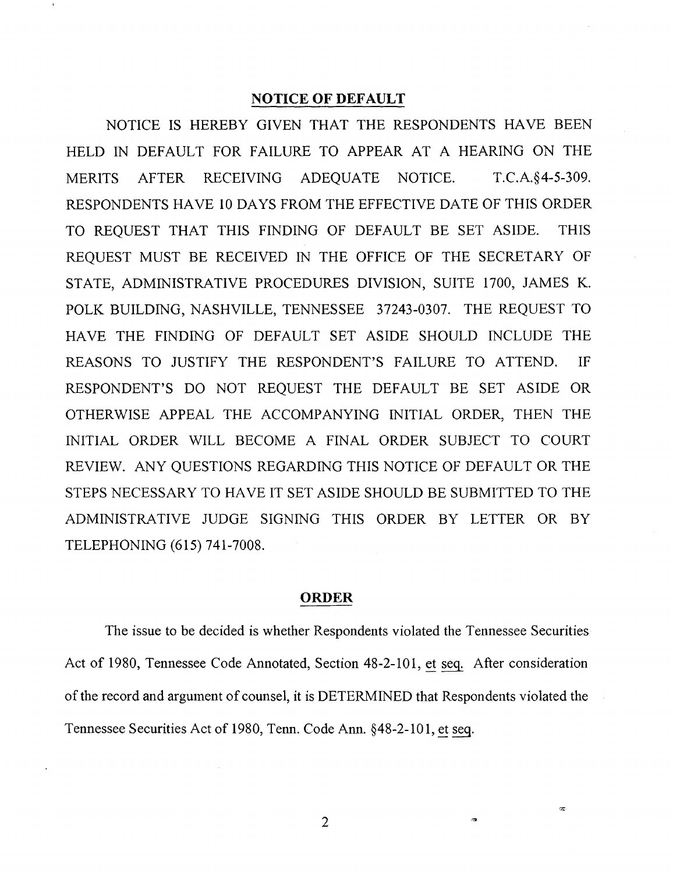### **NOTICE OF DEFAULT**

NOTICE IS HEREBY GIVEN THAT THE RESPONDENTS HAVE BEEN HELD IN DEFAULT FOR FAILURE TO APPEAR AT A HEARING ON THE MERITS AFTER RECEIVING ADEQUATE NOTICE. T.C.A.§4-5-309. RESPONDENTS HAVE 10 DAYS FROM THE EFFECTIVE DATE OF THIS ORDER TO REQUEST THAT THIS FINDING OF DEFAULT BE SET ASIDE. THIS REQUEST MUST BE RECEIVED IN THE OFFICE OF THE SECRETARY OF STATE, ADMINISTRATIVE PROCEDURES DIVISION, SUITE 1700, JAMES K. POLK BUILDING, NASHVILLE, TENNESSEE 37243-0307. THE REQUEST TO HAVE THE FINDING OF DEFAULT SET ASIDE SHOULD INCLUDE THE REASONS TO JUSTIFY THE RESPONDENT'S FAILURE TO ATTEND. IF RESPONDENT'S DO NOT REQUEST THE DEFAULT BE SET ASIDE OR OTHERWISE APPEAL THE ACCOMPANYING INITIAL ORDER, THEN THE INITIAL ORDER WILL BECOME A FINAL ORDER SUBJECT TO COURT REVIEW. ANY QUESTIONS REGARDING THIS NOTICE OF DEFAULT OR THE STEPS NECESSARY TO HAVE IT SET ASIDE SHOULD BE SUBMITTED TO THE ADMINISTRATIVE JUDGE SIGNING THIS ORDER BY LETTER OR BY TELEPHONING (615) 741-7008.

### **ORDER**

The issue to be decided is whether Respondents violated the Tennessee Securities Act of 1980, Tennessee Code Annotated, Section 48-2-101, et seq. After consideration of the record and argument of counsel, it is DETERMINED that Respondents violated the Tennessee Securities Act of 1980, Tenn. Code Ann. §48-2-10 1, et seq.

2

æ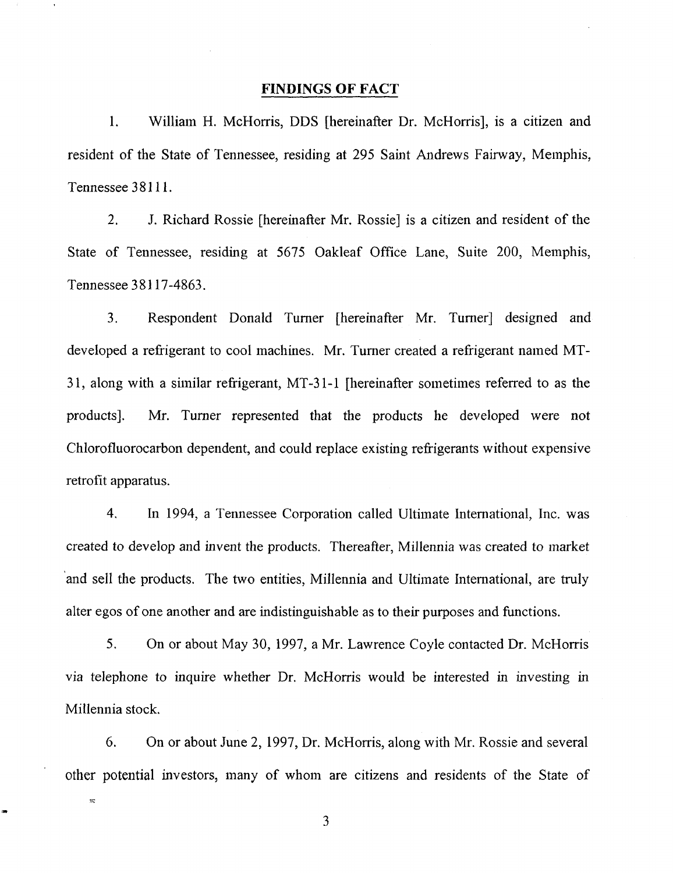### **FINDINGS OF FACT**

1. William H. McHorris, DDS [hereinafter Dr. McHorris], is a citizen and resident of the State of Tennessee, residing at 295 Saint Andrews Fairway, Memphis, Tennessee 38111.

2. J. Richard Rossie [hereinafter Mr. Rossie] is a citizen and resident of the State of Tennessee, residing at 5675 Oakleaf Office Lane, Suite 200, Memphis, Tennessee 3 8117-4863.

3. Respondent Donald Turner [hereinafter Mr. Turner] designed and developed a refrigerant to cool machines. Mr. Turner created a refrigerant named MT-31, along with a similar refrigerant, MT -31-1 [hereinafter sometimes referred to as the products]. Mr. Turner represented that the products he developed were not Chlorofluorocarbon dependent, and could replace existing refrigerants without expensive retrofit apparatus.

4. In 1994, a Tennessee Corporation called Ultimate International, Inc. was created to develop and invent the products. Thereafter, Millennia was created to market 'and sell the products. The two entities, Millennia and Ultimate International, are truly alter egos of one another and are indistinguishable as to their purposes and functions.

5. On or about May 30, 1997, a Mr. Lawrence Coyle contacted Dr. McHorris via telephone to inquire whether Dr. McHorris would be interested in investing in Millennia stock.

6. On or about June 2, 1997, Dr. McHorris, along with Mr. Rossie and several other potential investors, many of whom are citizens and residents of the State of

3

 $\overline{\mathcal{R}}$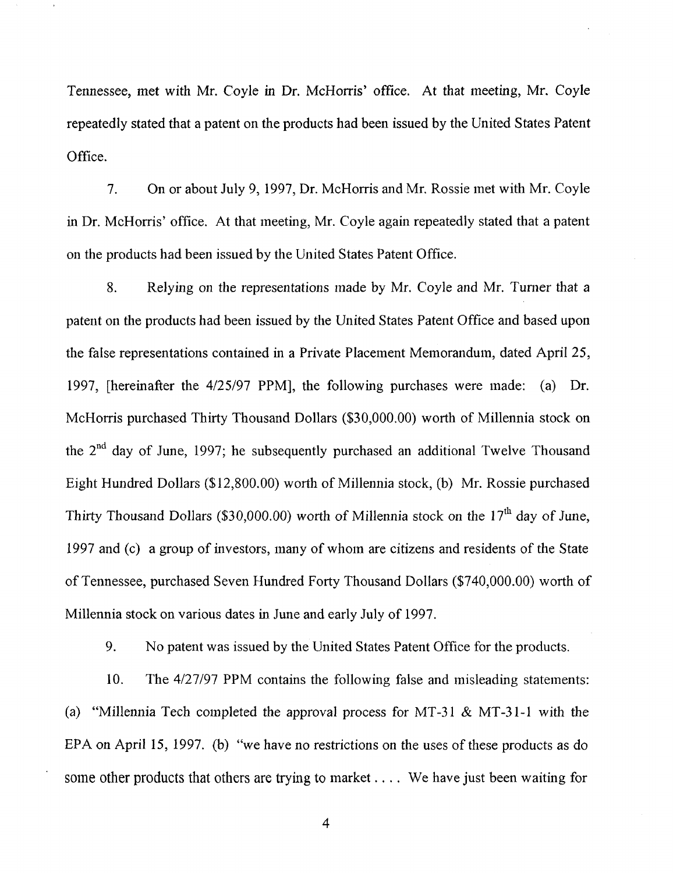Tennessee, met with Mr. Coyle in Dr. McHorris' office. At that meeting, Mr. Coyle repeatedly stated that a patent on the products had been issued by the United States Patent Office.

7. On or about July 9, 1997, Dr. McHorris and Mr. Rossie met with Mr. Coyle in Dr. McHorris' office. At that meeting, Mr. Coyle again repeatedly stated that a patent on the products had been issued by the United States Patent Office.

8. Relying on the representations made by Mr. Coyle and Mr. Turner that a patent on the products had been issued by the United States Patent Office and based upon the false representations contained in a Private Placement Memorandum, dated April 25, 1997, [hereinafter the 4/25/97 PPM], the following purchases were made: (a) Dr. McHorris purchased Thirty Thousand Dollars (\$30,000.00) worth of Millennia stock on the 2<sup>nd</sup> day of June, 1997; he subsequently purchased an additional Twelve Thousand Eight Hundred Dollars (\$12,800. 00) worth of Millennia stock, (b) Mr. Rossie purchased Thirty Thousand Dollars (\$30,000.00) worth of Millennia stock on the  $17<sup>th</sup>$  day of June, 1997 and (c) a group of investors, many of whom are citizens and residents of the State of Tennessee, purchased Seven Hundred Forty Thousand Dollars (\$740,000.00) worth of Millennia stock on various dates in June and early July of 1997.

9. No patent was issued by the United States Patent Office for the products.

10. The 4/27/97 PPM contains the following false and misleading statements: (a) "Millennia Tech completed the approval process for MT-31  $\&$  MT-31-1 with the EPA on April 15, 1997. (b) "we have no restrictions on the uses of these products as do some other products that others are trying to market .... We have just been waiting for

4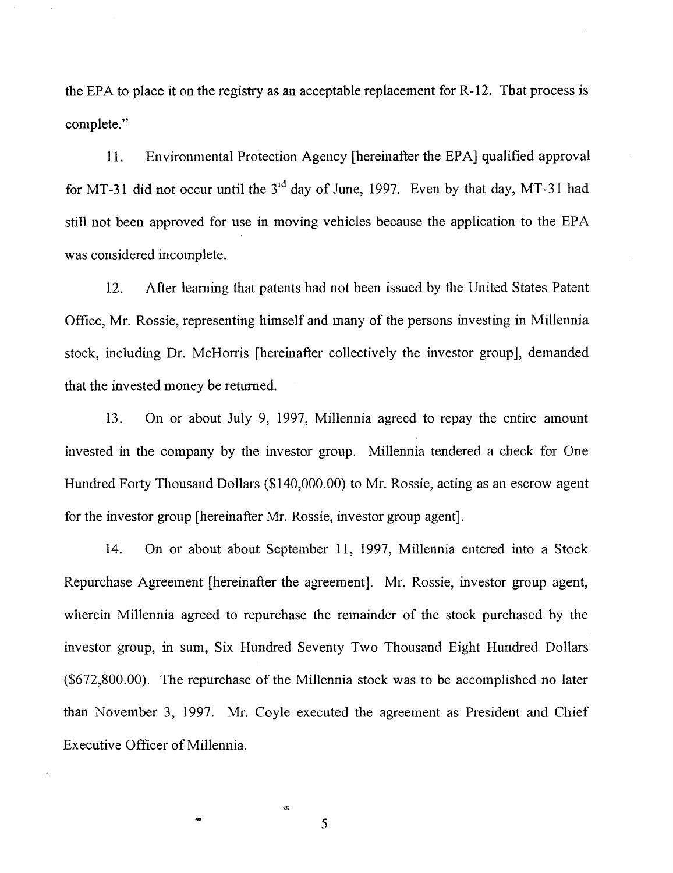the EPA to place it on the registry as an acceptable replacement for R-12. That process is complete."

11. Environmental Protection Agency [hereinafter the EPA] qualified approval for MT-31 did not occur until the  $3^{rd}$  day of June, 1997. Even by that day, MT-31 had still not been approved for use in moving vehicles because the application to the EPA was considered incomplete.

12. After learning that patents had not been issued by the United States Patent Office, Mr. Rossie, representing himself and many of the persons investing in Millennia stock, including Dr. McHorris [hereinafter collectively the investor group], demanded that the invested money be returned.

13. On or about July 9, 1997, Millennia agreed to repay the entire amount invested in the company by the investor group. Millennia tendered a check for One Hundred Forty Thousand Dollars (\$140,000.00) to Mr. Rossie, acting as an escrow agent for the investor group [hereinafter Mr. Rossie, investor group agent].

14. On or about about September 11, 1997, Millennia entered into a Stock Repurchase Agreement [hereinafter the agreement]. Mr. Rossie, investor group agent, wherein Millennia agreed to repurchase the remainder of the stock purchased by the investor group, in sum, Six Hundred Seventy Two Thousand Eight Hundred Dollars (\$672,800.00). The repurchase of the Millennia stock was to be accomplished no later than November 3, 1997. Mr. Coyle executed the agreement as President and Chief Executive Officer of Millennia.

 $\overline{\phantom{a}}$  5

 $\ll$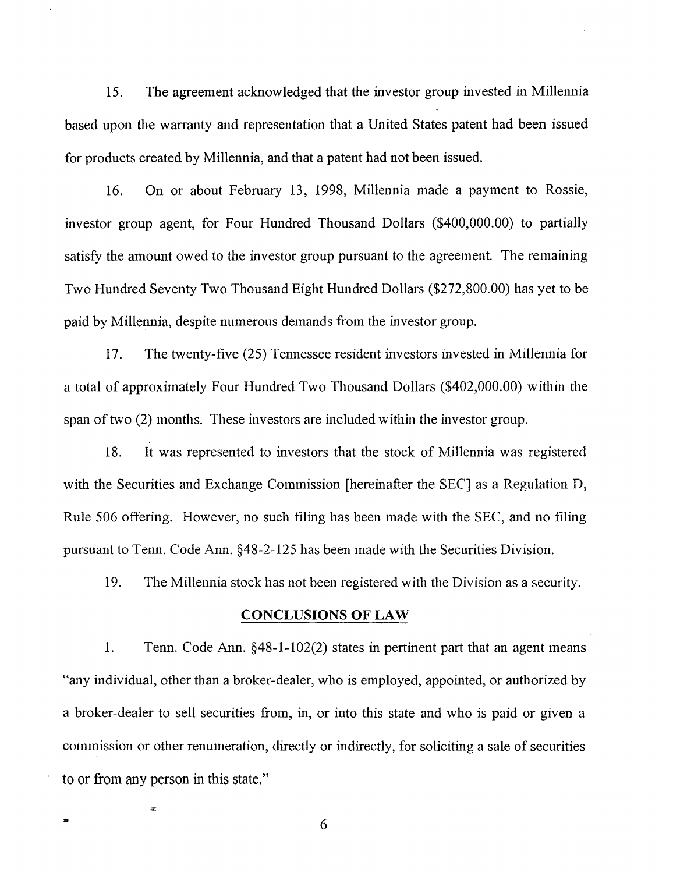15. The agreement acknowledged that the investor group invested in Millennia based upon the warranty and representation that a United States patent had been issued for products created by Millennia, and that a patent had not been issued.

16. On or about February 13, 1998, Millennia made a payment to Rossie, investor group agent, for Four Hundred Thousand Dollars (\$400,000.00) to partially satisfy the amount owed to the investor group pursuant to the agreement. The remaining Two Hundred Seventy Two Thousand Eight Hundred Dollars (\$272,800.00) has yet to be paid by Millennia, despite numerous demands from the investor group.

17. The twenty-five (25) Tennessee resident investors invested in Millennia for a total of approximately Four Hundred Two Thousand Dollars (\$402,000.00) within the span of two (2) months. These investors are included within the investor group.

18. It was represented to investors that the stock of Millennia was registered with the Securities and Exchange Commission [hereinafter the SEC] as a Regulation D, Rule 506 offering. However, no such filing has been made with the SEC, and no filing pursuant to Tenn. Code Ann. §48-2-125 has been made with the Securities Division.

19. The Millennia stock has not been registered with the Division as a security.

# CONCLUSIONS OF LAW

1. Tenn. Code Ann.  $§$ 48-1-102(2) states in pertinent part that an agent means "any individual, other than a broker-dealer, who is employed, appointed, or authorized by a broker-dealer to sell securities from, in, or into this state and who is paid or given a commission or other renumeration, directly or indirectly, for soliciting a sale of securities to or from any person in this state."

6

 $\pi$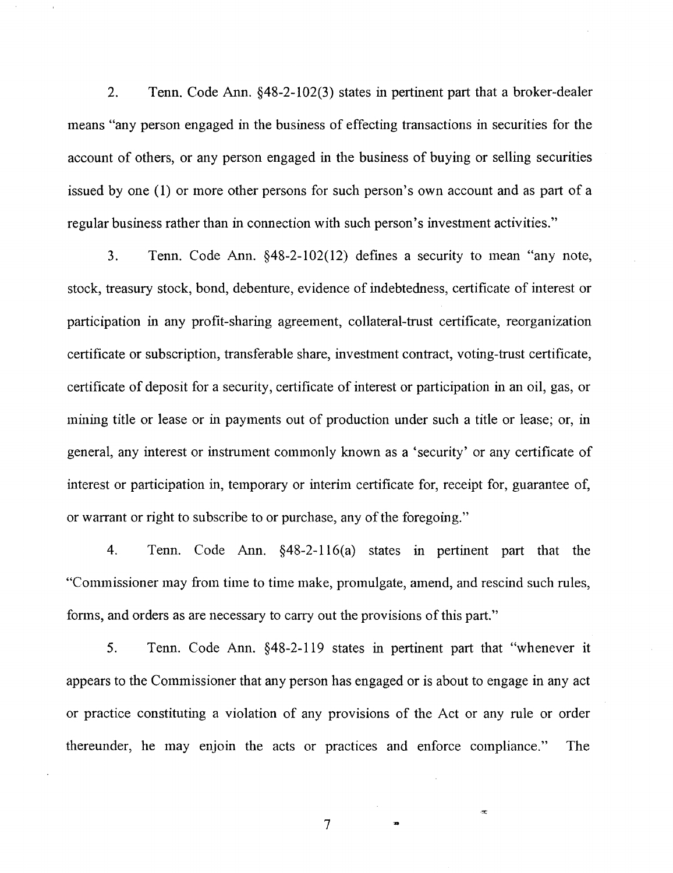2. Tenn. Code Ann. §48-2-102(3) states in pertinent part that a broker-dealer means "any person engaged in the business of effecting transactions in securities for the account of others, or any person engaged in the business of buying or selling securities issued by one (1) or more other persons for such person's own account and as part of a regular business rather than in connection with such person's investment activities."

3. Tenn. Code Ann. §48-2-102(12) defines a security to mean "any note, stock, treasury stock, bond, debenture, evidence of indebtedness, certificate of interest or participation in any profit-sharing agreement, collateral-trust certificate, reorganization certificate or subscription, transferable share, investment contract, voting-trust certificate, certificate of deposit for a security, certificate of interest or participation in an oil, gas, or mining title or lease or in payments out of production under such a title or lease; or, in general, any interest or instrument commonly known as a 'security' or any certificate of interest or participation in, temporary or interim certificate for, receipt for, guarantee of, or warrant or right to subscribe to or purchase, any of the foregoing."

4. Tenn. Code Ann. §48-2-116(a) states in pertinent part that the "Commissioner may from time to time make, promulgate, amend, and rescind such rules, forms, and orders as are necessary to carry out the provisions of this part."

5. Tenn. Code Ann. §48-2-119 states in pertinent part that "whenever it appears to the Commissioner that any person has engaged or is about to engage in any act or practice constituting a violation of any provisions of the Act or any rule or order thereunder, he may enjoin the acts or practices and enforce compliance." The

7

 $\bar{\mathcal{R}}$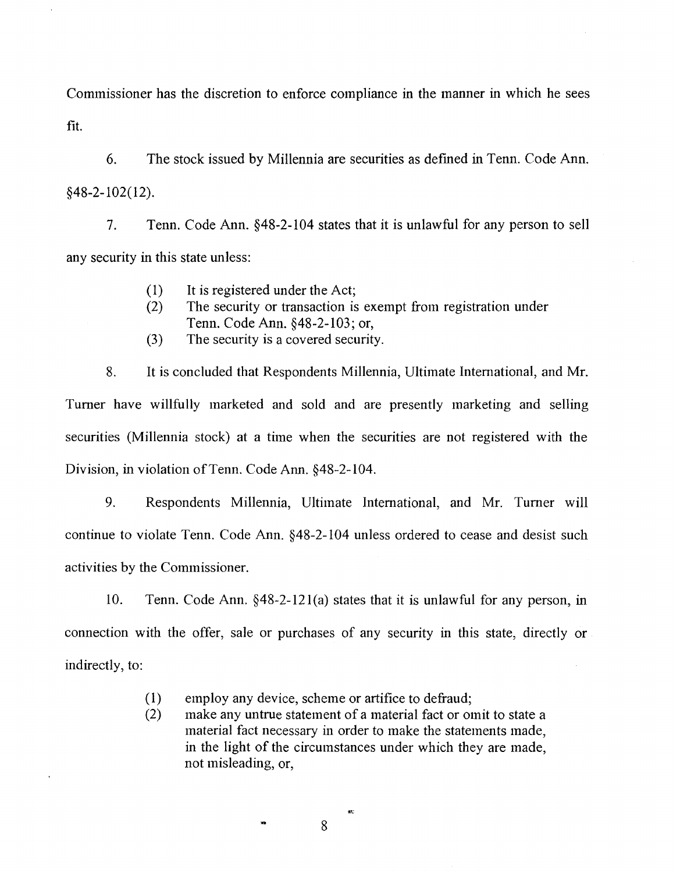Commissioner has the discretion to enforce compliance in the manner in which he sees fit.

6. The stock issued by Millennia are securities as defmed in Tenn. Code Ann. §48-2-102(12).

7. Tenn. Code Ann. §48-2-104 states that it is unlawful for any person to sell any security in this state unless:

- ( 1) It is registered under the Act;
- (2) The security or transaction is exempt from registration under Tenn. Code Ann. §48-2-103; or,
- (3) The security is a covered security.

8. It is concluded that Respondents Millennia, Ultimate International, and Mr. Turner have willfully marketed and sold and are presently marketing and selling securities (Millennia stock) at a time when the securities are not registered with the Division, in violation of Tenn. Code Ann. §48-2-104.

9. Respondents Millennia, Ultimate International, and Mr. Turner will continue to violate Tenn. Code Ann. §48-2-104 unless ordered to cease and desist such activities by the Commissioner.

10. Tenn. Code Ann. §48-2-12l(a) states that it is unlawful for any person, in connection with the offer, sale or purchases of any security in this state, directly or indirectly, to:

- ( 1) employ any device, scheme or artifice to defraud;
- (2) make any untrue statement of a material fact or omit to state a material fact necessary in order to make the statements made, in the light of the circumstances under which they are made, not misleading, or,

8

ž.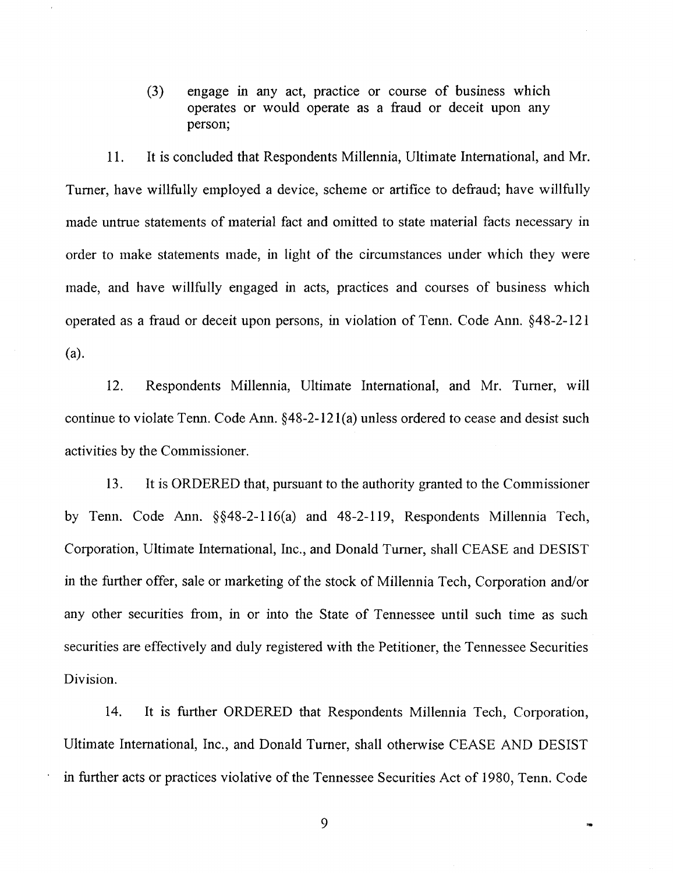(3) engage in any act, practice or course of business which operates or would operate as a fraud or deceit upon any person;

11. It is concluded that Respondents Millennia, Ultimate International, and Mr. Turner, have willfully employed a device, scheme or artifice to defraud; have willfully made untrue statements of material fact and omitted to state material facts necessary in order to make statements made, in light of the circumstances under which they were made, and have willfully engaged in acts, practices and courses of business which operated as a fraud or deceit upon persons, in violation of Tenn. Code Ann. §48-2-121 (a).

12. Respondents Millennia, Ultimate International, and Mr. Turner, will continue to violate Tenn. Code Ann. §48-2-12l(a) unless ordered to cease and desist such activities by the Commissioner.

13. It is ORDERED that, pursuant to the authority granted to the Commissioner by Tenn. Code Ann. §§48-2-116(a) and 48-2-119, Respondents Millennia Tech, Corporation, Ultimate International, Inc., and Donald Turner, shall CEASE and DESIST in the further offer, sale or marketing of the stock of Millennia Tech, Corporation and/or any other securities from, in or into the State of Tennessee until such time as such securities are effectively and duly registered with the Petitioner, the Tennessee Securities Division.

14. It is further ORDERED that Respondents Millennia Tech, Corporation, Ultimate International, Inc., and Donald Turner, shall otherwise CEASE AND DESIST in further acts or practices violative of the Tennessee Securities Act of 1980, Tenn. Code

9

.<br>Sid